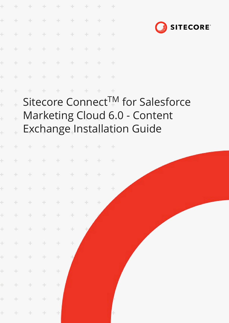

÷ ÷  $\frac{1}{2}$ ÷ ÷

÷ ÷ ÷ ÷ ÷

 $\frac{1}{2}$ 

÷

÷

 $\frac{1}{2}$ 

 $\pm$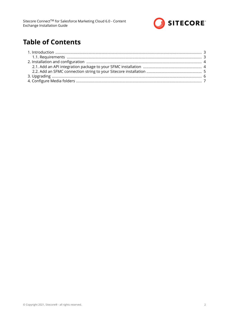

# **Table of Contents**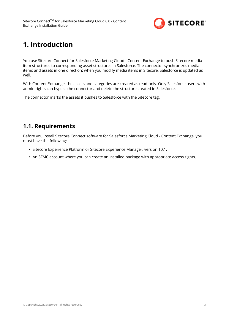

## <span id="page-2-0"></span>**1. Introduction**

You use Sitecore Connect for Salesforce Marketing Cloud - Content Exchange to push Sitecore media item structures to corresponding asset structures in Salesforce. The connector synchronizes media items and assets in one direction: when you modify media items in Sitecore, Salesforce is updated as well.

With Content Exchange, the assets and categories are created as read-only. Only Salesforce users with admin rights can bypass the connector and delete the structure created in Salesforce.

The connector marks the assets it pushes to Salesforce with the Sitecore tag.

### **1.1. Requirements**

Before you install Sitecore Connect software for Salesforce Marketing Cloud - Content Exchange, you must have the following:

- Sitecore Experience Platform or Sitecore Experience Manager, version 10.1.
- An SFMC account where you can create an installed package with appropriate access rights.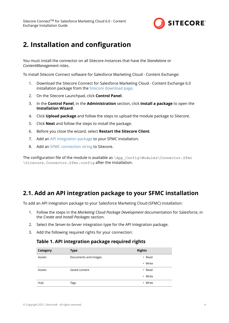

## <span id="page-3-0"></span>**2. Installation and configuration**

You must install the connector on all Sitecore instances that have the *Standalone* or *ContentManagement* roles.

To install Sitecore Connect software for Salesforce Marketing Cloud - Content Exchange:

- 1. Download the Sitecore Connect for Salesforce Marketing Cloud Content Exchange 6.0 installation package from the [Sitecore download page.](https://dev.sitecore.net/Downloads/)
- 2. On the Sitecore Launchpad, click **Control Panel**.
- 3. In the **Control Panel**, in the **Administration** section, click **Install a package** to open the **Installation Wizard**.
- 4. Click **Upload package** and follow the steps to upload the module package to Sitecore.
- 5. Click **Next** and follow the steps to install the package.
- 6. Before you close the wizard, select **Restart the Sitecore Client**.
- 7. Add an API integration package to your SFMC installation.
- 8. Add an [SFMC connection string](#page-4-0) to Sitecore.

The configuration file of the module is available as  $\App$  Config\Modules\Connector.Sfmc \Sitecore.Connector.Sfmc.config after the installation.

### **2.1. Add an API integration package to your SFMC installation**

To add an API integration package to your Salesforce Marketing Cloud (SFMC) installation:

- 1. Follow the steps in the *Marketing Cloud Package Development* documentation for Salesforce, in the *Create and Install Packages* section.
- 2. Select the *Server-to-Server* integration type for the API Integration package.
- 3. Add the following required rights for your connection:

#### **Table 1. API integration package required rights**

| <b>Category</b> | <b>Type</b>          | <b>Rights</b> |
|-----------------|----------------------|---------------|
| Assets          | Documents and images | $\cdot$ Read  |
|                 |                      | • Write       |
| Assets          | Saved content        | $\cdot$ Read  |
|                 |                      | • Write       |
| Hub             | Tags                 | • Write       |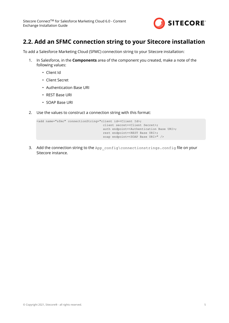

### <span id="page-4-0"></span>**2.2. Add an SFMC connection string to your Sitecore installation**

To add a Salesforce Marketing Cloud (SFMC) connection string to your Sitecore installation:

- 1. In Salesforce, in the **Components** area of the component you created, make a note of the following values:
	- Client Id
	- Client Secret
	- Authentication Base URI
	- REST Base URI
	- SOAP Base URI
- 2. Use the values to construct a connection string with this format:

```
<add name="sfmc" connectionString="client id=<Client Id>;
                         client secret=<Client Secret>;
                         auth endpoint=<Authentication Base URI>;
                         rest endpoint=<REST Base URI>;
                         soap endpoint=<SOAP Base URI>" />
```
3. Add the connection string to the App config\connectionstrings.config file on your Sitecore instance.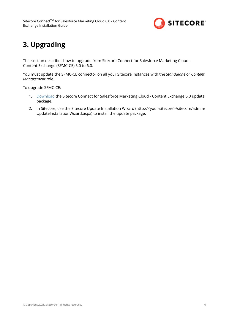

# <span id="page-5-0"></span>**3. Upgrading**

This section describes how to upgrade from Sitecore Connect for Salesforce Marketing Cloud - Content Exchange (SFMC-CE) 5.0 to 6.0.

You must update the SFMC-CE connector on all your Sitecore instances with the *Standalone* or *Content Management* role.

To upgrade SFMC-CE:

- 1. [Download](https://dev.sitecore.net/downloads) the Sitecore Connect for Salesforce Marketing Cloud Content Exchange 6.0 update package.
- 2. In Sitecore, use the Sitecore Update Installation Wizard (http://<your-sitecore>/sitecore/admin/ UpdateInstallationWizard.aspx) to install the update package.